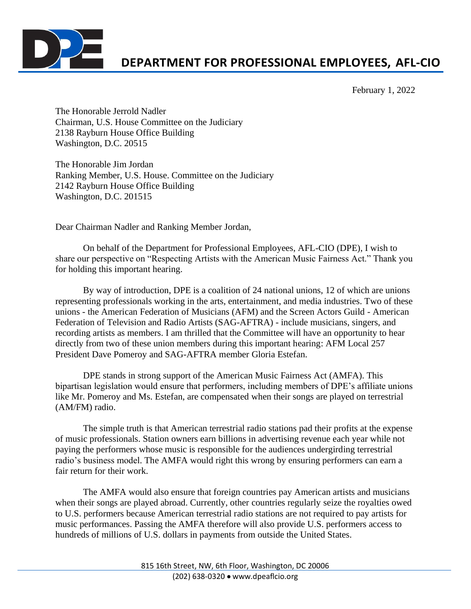

## **DEPARTMENT FOR PROFESSIONAL EMPLOYEES, AFL-CIO**

February 1, 2022

The Honorable Jerrold Nadler Chairman, U.S. House Committee on the Judiciary 2138 Rayburn House Office Building Washington, D.C. 20515

The Honorable Jim Jordan Ranking Member, U.S. House. Committee on the Judiciary 2142 Rayburn House Office Building Washington, D.C. 201515

Dear Chairman Nadler and Ranking Member Jordan,

On behalf of the Department for Professional Employees, AFL-CIO (DPE), I wish to share our perspective on "Respecting Artists with the American Music Fairness Act." Thank you for holding this important hearing.

By way of introduction, DPE is a coalition of 24 national unions, 12 of which are unions representing professionals working in the arts, entertainment, and media industries. Two of these unions - the American Federation of Musicians (AFM) and the Screen Actors Guild - American Federation of Television and Radio Artists (SAG-AFTRA) - include musicians, singers, and recording artists as members. I am thrilled that the Committee will have an opportunity to hear directly from two of these union members during this important hearing: AFM Local 257 President Dave Pomeroy and SAG-AFTRA member Gloria Estefan.

DPE stands in strong support of the American Music Fairness Act (AMFA). This bipartisan legislation would ensure that performers, including members of DPE's affiliate unions like Mr. Pomeroy and Ms. Estefan, are compensated when their songs are played on terrestrial (AM/FM) radio.

The simple truth is that American terrestrial radio stations pad their profits at the expense of music professionals. Station owners earn billions in advertising revenue each year while not paying the performers whose music is responsible for the audiences undergirding terrestrial radio's business model. The AMFA would right this wrong by ensuring performers can earn a fair return for their work.

The AMFA would also ensure that foreign countries pay American artists and musicians when their songs are played abroad. Currently, other countries regularly seize the royalties owed to U.S. performers because American terrestrial radio stations are not required to pay artists for music performances. Passing the AMFA therefore will also provide U.S. performers access to hundreds of millions of U.S. dollars in payments from outside the United States.